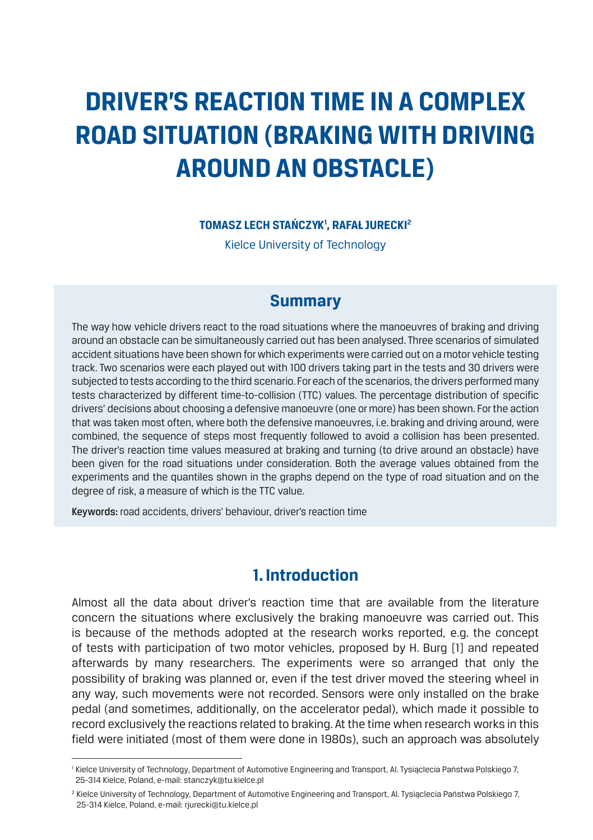# **DRIVER'S REACTION TIME IN A COMPLEX ROAD SITUATION (BRAKING WITH DRIVING AROUND AN OBSTACLE)**

#### **TOMASZ LECH STAŃCZYK1 , RAFAŁ JURECKI2**

Kielce University of Technology

## **Summary**

The way how vehicle drivers react to the road situations where the manoeuvres of braking and driving around an obstacle can be simultaneously carried out has been analysed. Three scenarios of simulated accident situations have been shown for which experiments were carried out on a motor vehicle testing track. Two scenarios were each played out with 100 drivers taking part in the tests and 30 drivers were subjected to tests according to the third scenario. For each of the scenarios, the drivers performed many tests characterized by different time-to-collision (TTC) values. The percentage distribution of specific drivers' decisions about choosing a defensive manoeuvre (one or more) has been shown. For the action that was taken most often, where both the defensive manoeuvres, i.e. braking and driving around, were combined, the sequence of steps most frequently followed to avoid a collision has been presented. The driver's reaction time values measured at braking and turning (to drive around an obstacle) have been given for the road situations under consideration. Both the average values obtained from the experiments and the quantiles shown in the graphs depend on the type of road situation and on the degree of risk, a measure of which is the TTC value.

Keywords: road accidents, drivers' behaviour, driver's reaction time

## **1. Introduction**

Almost all the data about driver's reaction time that are available from the literature concern the situations where exclusively the braking manoeuvre was carried out. This is because of the methods adopted at the research works reported, e.g. the concept of tests with participation of two motor vehicles, proposed by H. Burg [1] and repeated afterwards by many researchers. The experiments were so arranged that only the possibility of braking was planned or, even if the test driver moved the steering wheel in any way, such movements were not recorded. Sensors were only installed on the brake pedal (and sometimes, additionally, on the accelerator pedal), which made it possible to record exclusively the reactions related to braking. At the time when research works in this field were initiated (most of them were done in 1980s), such an approach was absolutely

<sup>1</sup> Kielce University of Technology, Department of Automotive Engineering and Transport, Al. Tysiąclecia Państwa Polskiego 7, 25-314 Kielce, Poland, e-mail: stanczyk@tu.kielce.pl

<sup>2</sup> Kielce University of Technology, Department of Automotive Engineering and Transport, Al. Tysiąclecia Państwa Polskiego 7, 25-314 Kielce, Poland, e-mail: rjurecki@tu.kielce.pl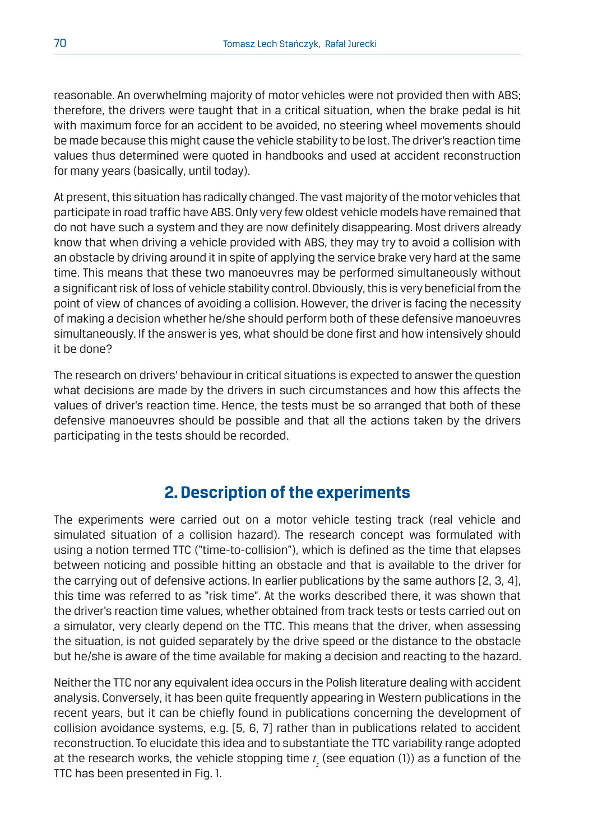reasonable. An overwhelming majority of motor vehicles were not provided then with ABS; therefore, the drivers were taught that in a critical situation, when the brake pedal is hit with maximum force for an accident to be avoided, no steering wheel movements should be made because this might cause the vehicle stability to be lost. The driver's reaction time values thus determined were quoted in handbooks and used at accident reconstruction for many years (basically, until today).

At present, this situation has radically changed. The vast majority of the motor vehicles that participate in road traffic have ABS. Only very few oldest vehicle models have remained that do not have such a system and they are now definitely disappearing. Most drivers already know that when driving a vehicle provided with ABS, they may try to avoid a collision with an obstacle by driving around it in spite of applying the service brake very hard at the same time. This means that these two manoeuvres may be performed simultaneously without a significant risk of loss of vehicle stability control. Obviously, this is very beneficial from the point of view of chances of avoiding a collision. However, the driver is facing the necessity of making a decision whether he/she should perform both of these defensive manoeuvres simultaneously. If the answer is yes, what should be done first and how intensively should it be done?

The research on drivers' behaviour in critical situations is expected to answer the question what decisions are made by the drivers in such circumstances and how this affects the values of driver's reaction time. Hence, the tests must be so arranged that both of these defensive manoeuvres should be possible and that all the actions taken by the drivers participating in the tests should be recorded.

## **2. Description of the experiments**

The experiments were carried out on a motor vehicle testing track (real vehicle and simulated situation of a collision hazard). The research concept was formulated with using a notion termed TTC ("time-to-collision"), which is defined as the time that elapses between noticing and possible hitting an obstacle and that is available to the driver for the carrying out of defensive actions. In earlier publications by the same authors [2, 3, 4], this time was referred to as "risk time". At the works described there, it was shown that the driver's reaction time values, whether obtained from track tests or tests carried out on a simulator, very clearly depend on the TTC. This means that the driver, when assessing the situation, is not guided separately by the drive speed or the distance to the obstacle but he/she is aware of the time available for making a decision and reacting to the hazard.

Neither the TTC nor any equivalent idea occurs in the Polish literature dealing with accident analysis. Conversely, it has been quite frequently appearing in Western publications in the recent years, but it can be chiefly found in publications concerning the development of collision avoidance systems, e.g. [5, 6, 7] rather than in publications related to accident reconstruction. To elucidate this idea and to substantiate the TTC variability range adopted at the research works, the vehicle stopping time  $t_{\rm z}$  (see equation (1)) as a function of the TTC has been presented in Fig. 1.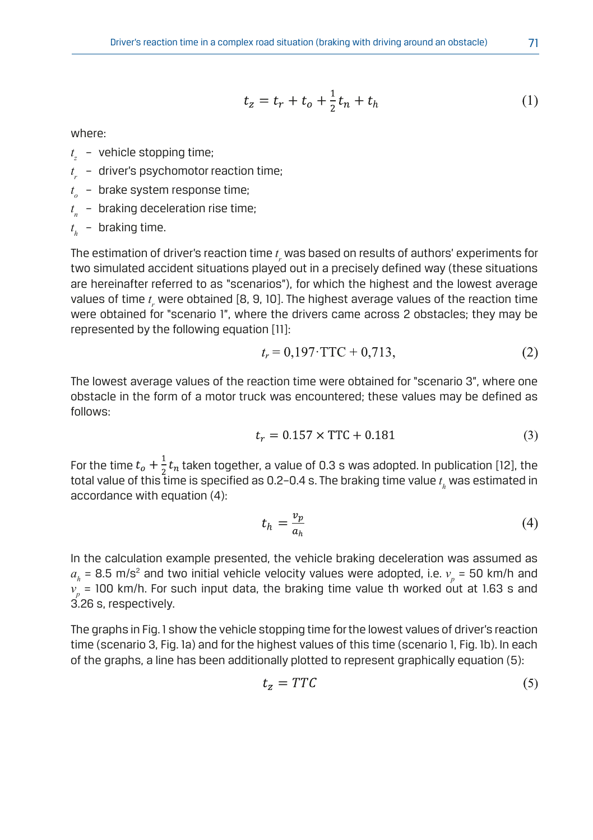$$
t_z = t_r + t_o + \frac{1}{2}t_n + t_h
$$
 (1)

where:

- *t <sup>z</sup>* vehicle stopping time;
- *t <sup>r</sup>* driver's psychomotor reaction time;
- *t <sup>o</sup>* brake system response time;
- $t_{n}$  braking deceleration rise time;

*t <sup>h</sup>* – braking time.

The estimation of driver's reaction time  $t_{_{r}}$  was based on results of authors' experiments for two simulated accident situations played out in a precisely defined way (these situations are hereinafter referred to as "scenarios"), for which the highest and the lowest average values of time  $t_{\rm r}$  were obtained [8, 9, 10]. The highest average values of the reaction time reflect of the c<sub>r</sub> rule obtained [cr] of cr<sub>1</sub>. The highest exercise values of the redefient time<br>Were obtained for "scenario 1", where the drivers came across 2 obstacles; they may be represented by the following equation [11]:

$$
t_r = 0,197 \cdot \text{TTC} + 0,713,\tag{2}
$$

The lowest average values of the reaction time were obtained for "scenario 3", where one obstacle in the form of a motor truck was encountered; these values may be defined as follows:

$$
t_r = 0.157 \times \text{TTC} + 0.181\tag{3}
$$

For the time  $t_o + \frac{1}{2}t_n$  taken together, a value of 0.3 s was adopted. In publication [12], the total value of this time is specified as 0.2–0.4 s. The braking time value *t h* was estimated in accordance with equation (4):

$$
t_h = \frac{v_p}{a_h} \tag{4}
$$

In the calculation example presented, the vehicle braking deceleration was assumed as  $a_{_{h}}$  = 8.5 m/s<sup>2</sup> and two initial vehicle velocity values were adopted, i.e.  $v_{_{p}}$  = 50 km/h and  $\nu_{\stackrel{}{p}}$  = 100 km/h. For such input data, the braking time value th worked out at 1.63 s and 3.26 s, respectively.

The graphs in Fig. 1 show the vehicle stopping time for the lowest values of driver's reaction time (scenario 3, Fig. 1a) and for the highest values of this time (scenario 1, Fig. 1b). In each of the graphs, a line has been additionally plotted to represent graphically equation (5):

$$
t_z = TTC \tag{5}
$$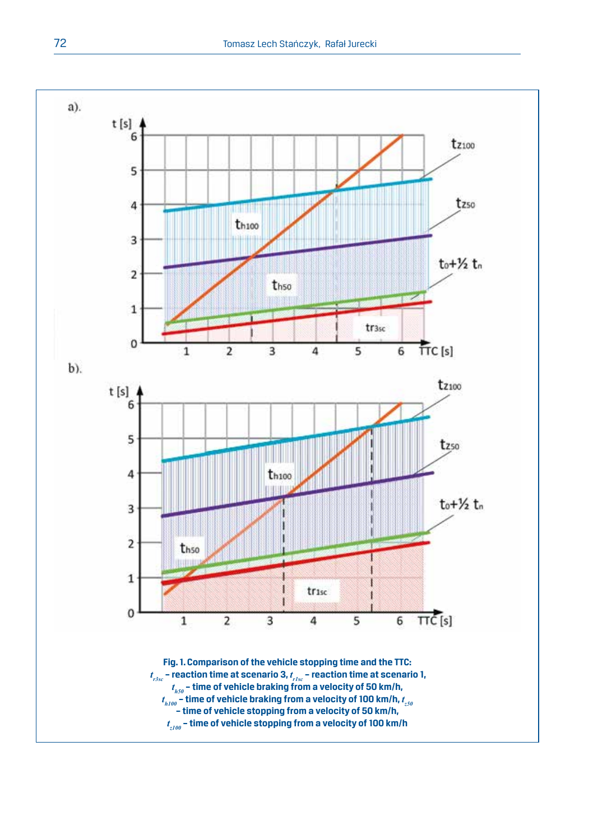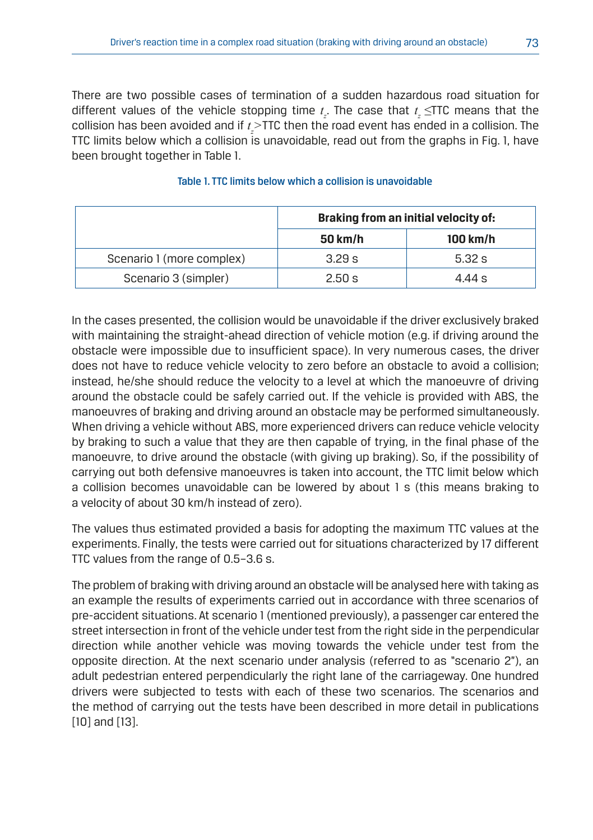There are two possible cases of termination of a sudden hazardous road situation for different values of the vehicle stopping time  $t_{\rm z}$ . The case that  $t_{\rm z}$   $\leq$ TTC means that the collision has been avoided and if *t z >*TTC then the road event has ended in a collision. The TTC limits below which a collision is unavoidable, read out from the graphs in Fig. 1, have been brought together in Table 1.

|                           | Braking from an initial velocity of: |          |
|---------------------------|--------------------------------------|----------|
|                           | 50 km/h                              | 100 km/h |
| Scenario 1 (more complex) | 3.29 s                               | 5.32 s   |
| Scenario 3 (simpler)      | 2.50 s                               | 4.44 s   |

#### Table 1. TTC limits below which a collision is unavoidable

In the cases presented, the collision would be unavoidable if the driver exclusively braked with maintaining the straight-ahead direction of vehicle motion (e.g. if driving around the obstacle were impossible due to insufficient space). In very numerous cases, the driver does not have to reduce vehicle velocity to zero before an obstacle to avoid a collision; instead, he/she should reduce the velocity to a level at which the manoeuvre of driving around the obstacle could be safely carried out. If the vehicle is provided with ABS, the manoeuvres of braking and driving around an obstacle may be performed simultaneously. When driving a vehicle without ABS, more experienced drivers can reduce vehicle velocity by braking to such a value that they are then capable of trying, in the final phase of the manoeuvre, to drive around the obstacle (with giving up braking). So, if the possibility of carrying out both defensive manoeuvres is taken into account, the TTC limit below which a collision becomes unavoidable can be lowered by about 1 s (this means braking to a velocity of about 30 km/h instead of zero).

The values thus estimated provided a basis for adopting the maximum TTC values at the experiments. Finally, the tests were carried out for situations characterized by 17 different TTC values from the range of 0.5–3.6 s.

The problem of braking with driving around an obstacle will be analysed here with taking as an example the results of experiments carried out in accordance with three scenarios of pre-accident situations. At scenario 1 (mentioned previously), a passenger car entered the street intersection in front of the vehicle under test from the right side in the perpendicular direction while another vehicle was moving towards the vehicle under test from the opposite direction. At the next scenario under analysis (referred to as "scenario 2"), an adult pedestrian entered perpendicularly the right lane of the carriageway. One hundred drivers were subjected to tests with each of these two scenarios. The scenarios and the method of carrying out the tests have been described in more detail in publications [10] and [13].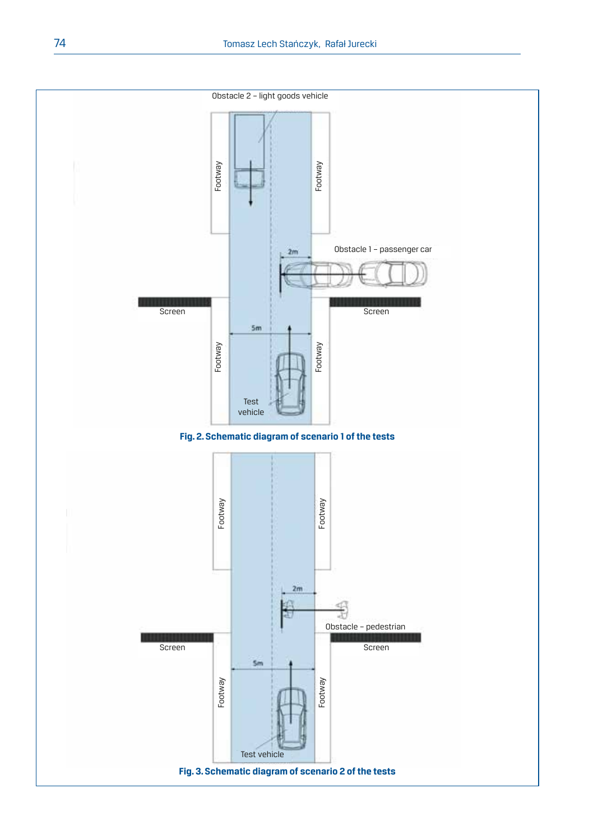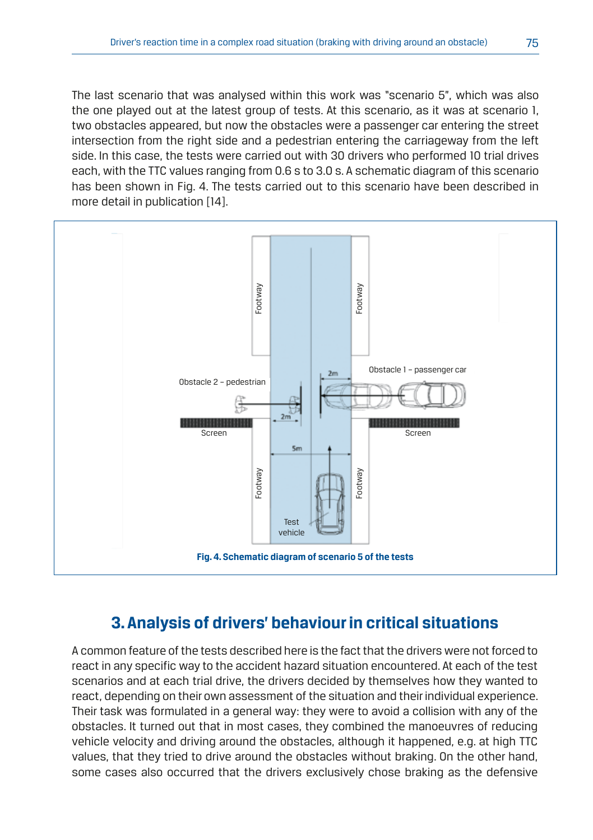The last scenario that was analysed within this work was "scenario 5", which was also the one played out at the latest group of tests. At this scenario, as it was at scenario 1, two obstacles appeared, but now the obstacles were a passenger car entering the street intersection from the right side and a pedestrian entering the carriageway from the left side. In this case, the tests were carried out with 30 drivers who performed 10 trial drives each, with the TTC values ranging from 0.6 s to 3.0 s. A schematic diagram of this scenario has been shown in Fig. 4. The tests carried out to this scenario have been described in more detail in publication [14].



# **3. Analysis of drivers' behaviour in critical situations**

A common feature of the tests described here is the fact that the drivers were not forced to react in any specific way to the accident hazard situation encountered. At each of the test scenarios and at each trial drive, the drivers decided by themselves how they wanted to react, depending on their own assessment of the situation and their individual experience. Their task was formulated in a general way: they were to avoid a collision with any of the obstacles. It turned out that in most cases, they combined the manoeuvres of reducing vehicle velocity and driving around the obstacles, although it happened, e.g. at high TTC values, that they tried to drive around the obstacles without braking. On the other hand, some cases also occurred that the drivers exclusively chose braking as the defensive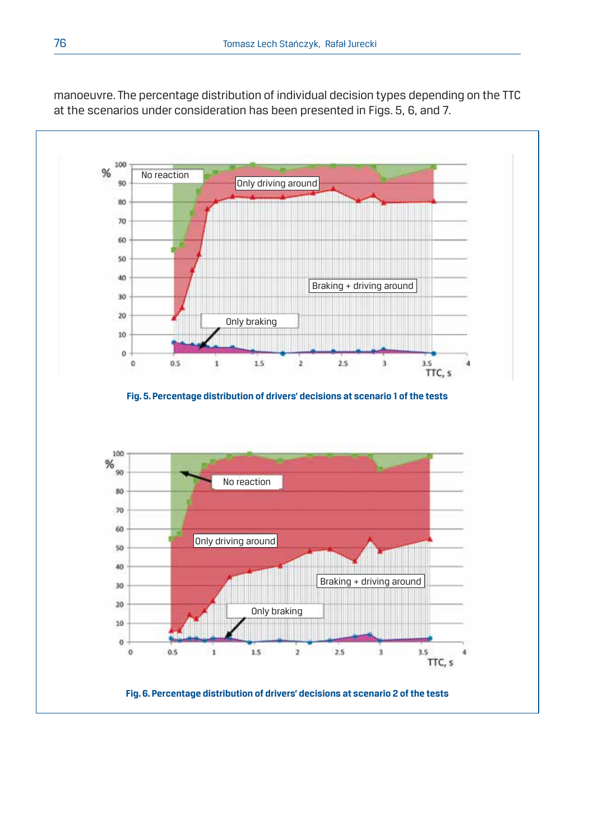

manoeuvre. The percentage distribution of individual decision types depending on the TTC at the scenarios under consideration has been presented in Figs. 5, 6, and 7.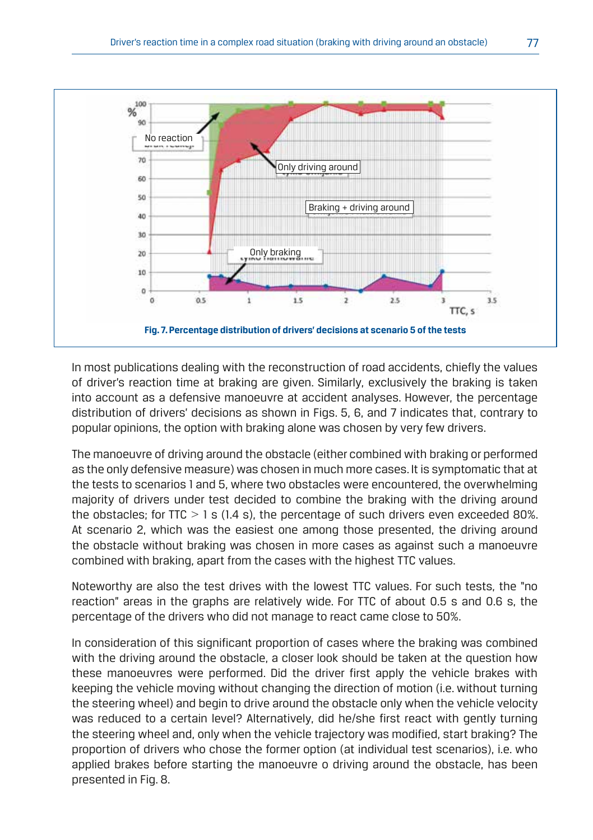

In most publications dealing with the reconstruction of road accidents, chiefly the values of driver's reaction time at braking are given. Similarly, exclusively the braking is taken into account as a defensive manoeuvre at accident analyses. However, the percentage distribution of drivers' decisions as shown in Figs. 5, 6, and 7 indicates that, contrary to popular opinions, the option with braking alone was chosen by very few drivers.

The manoeuvre of driving around the obstacle (either combined with braking or performed as the only defensive measure) was chosen in much more cases. It is symptomatic that at the tests to scenarios 1 and 5, where two obstacles were encountered, the overwhelming majority of drivers under test decided to combine the braking with the driving around the obstacles; for TTC *>* 1 s (1.4 s), the percentage of such drivers even exceeded 80%. At scenario 2, which was the easiest one among those presented, the driving around the obstacle without braking was chosen in more cases as against such a manoeuvre combined with braking, apart from the cases with the highest TTC values.

Noteworthy are also the test drives with the lowest TTC values. For such tests, the "no reaction" areas in the graphs are relatively wide. For TTC of about 0.5 s and 0.6 s, the percentage of the drivers who did not manage to react came close to 50%.

In consideration of this significant proportion of cases where the braking was combined with the driving around the obstacle, a closer look should be taken at the question how these manoeuvres were performed. Did the driver first apply the vehicle brakes with keeping the vehicle moving without changing the direction of motion (i.e. without turning the steering wheel) and begin to drive around the obstacle only when the vehicle velocity was reduced to a certain level? Alternatively, did he/she first react with gently turning the steering wheel and, only when the vehicle trajectory was modified, start braking? The proportion of drivers who chose the former option (at individual test scenarios), i.e. who applied brakes before starting the manoeuvre o driving around the obstacle, has been presented in Fig. 8.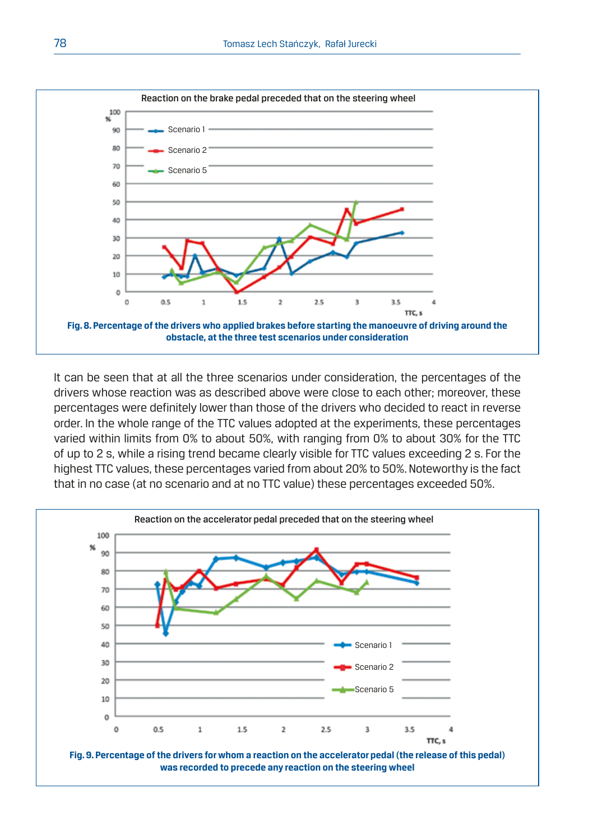

It can be seen that at all the three scenarios under consideration, the percentages of the drivers whose reaction was as described above were close to each other; moreover, these percentages were definitely lower than those of the drivers who decided to react in reverse order. In the whole range of the TTC values adopted at the experiments, these percentages varied within limits from 0% to about 50%, with ranging from 0% to about 30% for the TTC of up to 2 s, while a rising trend became clearly visible for TTC values exceeding 2 s. For the highest TTC values, these percentages varied from about 20% to 50%. Noteworthy is the fact that in no case (at no scenario and at no TTC value) these percentages exceeded 50%.

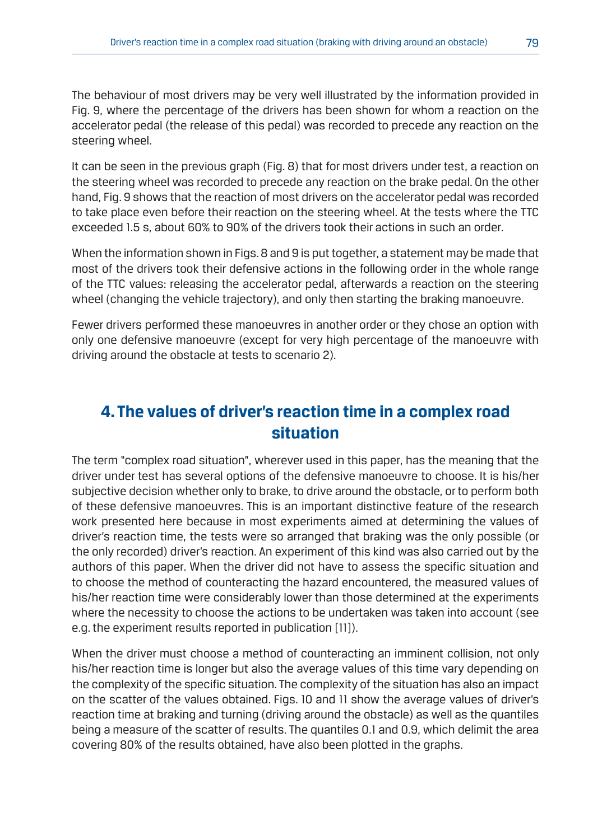The behaviour of most drivers may be very well illustrated by the information provided in Fig. 9, where the percentage of the drivers has been shown for whom a reaction on the accelerator pedal (the release of this pedal) was recorded to precede any reaction on the steering wheel.

It can be seen in the previous graph (Fig. 8) that for most drivers under test, a reaction on the steering wheel was recorded to precede any reaction on the brake pedal. On the other hand, Fig. 9 shows that the reaction of most drivers on the accelerator pedal was recorded to take place even before their reaction on the steering wheel. At the tests where the TTC exceeded 1.5 s, about 60% to 90% of the drivers took their actions in such an order.

When the information shown in Figs. 8 and 9 is put together, a statement may be made that most of the drivers took their defensive actions in the following order in the whole range of the TTC values: releasing the accelerator pedal, afterwards a reaction on the steering wheel (changing the vehicle trajectory), and only then starting the braking manoeuvre.

Fewer drivers performed these manoeuvres in another order or they chose an option with only one defensive manoeuvre (except for very high percentage of the manoeuvre with driving around the obstacle at tests to scenario 2).

# **4. The values of driver's reaction time in a complex road situation**

The term "complex road situation", wherever used in this paper, has the meaning that the driver under test has several options of the defensive manoeuvre to choose. It is his/her subjective decision whether only to brake, to drive around the obstacle, or to perform both of these defensive manoeuvres. This is an important distinctive feature of the research work presented here because in most experiments aimed at determining the values of driver's reaction time, the tests were so arranged that braking was the only possible (or the only recorded) driver's reaction. An experiment of this kind was also carried out by the authors of this paper. When the driver did not have to assess the specific situation and to choose the method of counteracting the hazard encountered, the measured values of his/her reaction time were considerably lower than those determined at the experiments where the necessity to choose the actions to be undertaken was taken into account (see e.g. the experiment results reported in publication [11]).

When the driver must choose a method of counteracting an imminent collision, not only his/her reaction time is longer but also the average values of this time vary depending on the complexity of the specific situation. The complexity of the situation has also an impact on the scatter of the values obtained. Figs. 10 and 11 show the average values of driver's reaction time at braking and turning (driving around the obstacle) as well as the quantiles being a measure of the scatter of results. The quantiles 0.1 and 0.9, which delimit the area covering 80% of the results obtained, have also been plotted in the graphs.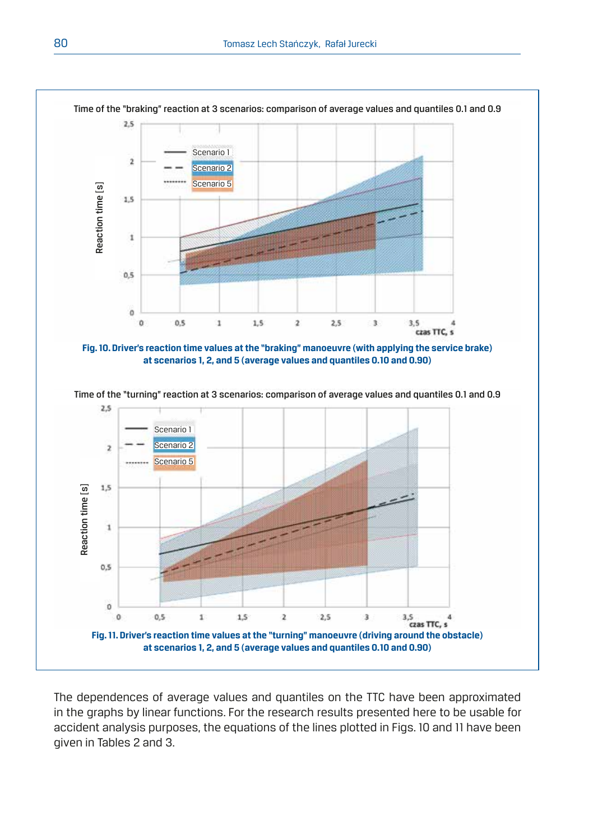

The dependences of average values and quantiles on the TTC have been approximated in the graphs by linear functions. For the research results presented here to be usable for accident analysis purposes, the equations of the lines plotted in Figs. 10 and 11 have been given in Tables 2 and 3.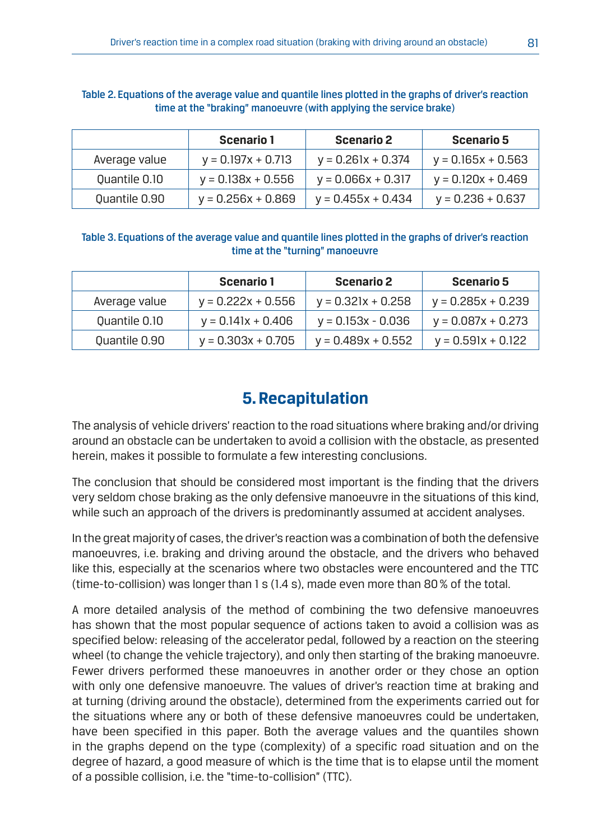|               | Scenario 1           | Scenario 2           | <b>Scenario 5</b>    |
|---------------|----------------------|----------------------|----------------------|
| Average value | $v = 0.197x + 0.713$ | $v = 0.261x + 0.374$ | $v = 0.165x + 0.563$ |
| Ouantile 0.10 | $v = 0.138x + 0.556$ | $y = 0.066x + 0.317$ | $v = 0.120x + 0.469$ |
| Ouantile 0.90 | $v = 0.256x + 0.869$ | $v = 0.455x + 0.434$ | $v = 0.236 + 0.637$  |

#### Table 2. Equations of the average value and quantile lines plotted in the graphs of driver's reaction time at the "braking" manoeuvre (with applying the service brake)

Table 3. Equations of the average value and quantile lines plotted in the graphs of driver's reaction time at the "turning" manoeuvre

|               | Scenario 1           | Scenario 2           | <b>Scenario 5</b>    |
|---------------|----------------------|----------------------|----------------------|
| Average value | $v = 0.222x + 0.556$ | $v = 0.321x + 0.258$ | $v = 0.285x + 0.239$ |
| Ouantile 0.10 | $v = 0.141x + 0.406$ | $v = 0.153x - 0.036$ | $v = 0.087x + 0.273$ |
| Ouantile 0.90 | $v = 0.303x + 0.705$ | $y = 0.489x + 0.552$ | $v = 0.591x + 0.122$ |

# **5. Recapitulation**

The analysis of vehicle drivers' reaction to the road situations where braking and/or driving around an obstacle can be undertaken to avoid a collision with the obstacle, as presented herein, makes it possible to formulate a few interesting conclusions.

The conclusion that should be considered most important is the finding that the drivers very seldom chose braking as the only defensive manoeuvre in the situations of this kind, while such an approach of the drivers is predominantly assumed at accident analyses.

In the great majority of cases, the driver's reaction was a combination of both the defensive manoeuvres, i.e. braking and driving around the obstacle, and the drivers who behaved like this, especially at the scenarios where two obstacles were encountered and the TTC (time-to-collision) was longer than 1 s (1.4 s), made even more than 80% of the total.

A more detailed analysis of the method of combining the two defensive manoeuvres has shown that the most popular sequence of actions taken to avoid a collision was as specified below: releasing of the accelerator pedal, followed by a reaction on the steering wheel (to change the vehicle trajectory), and only then starting of the braking manoeuvre. Fewer drivers performed these manoeuvres in another order or they chose an option with only one defensive manoeuvre. The values of driver's reaction time at braking and at turning (driving around the obstacle), determined from the experiments carried out for the situations where any or both of these defensive manoeuvres could be undertaken, have been specified in this paper. Both the average values and the quantiles shown in the graphs depend on the type (complexity) of a specific road situation and on the degree of hazard, a good measure of which is the time that is to elapse until the moment of a possible collision, i.e. the "time-to-collision" (TTC).